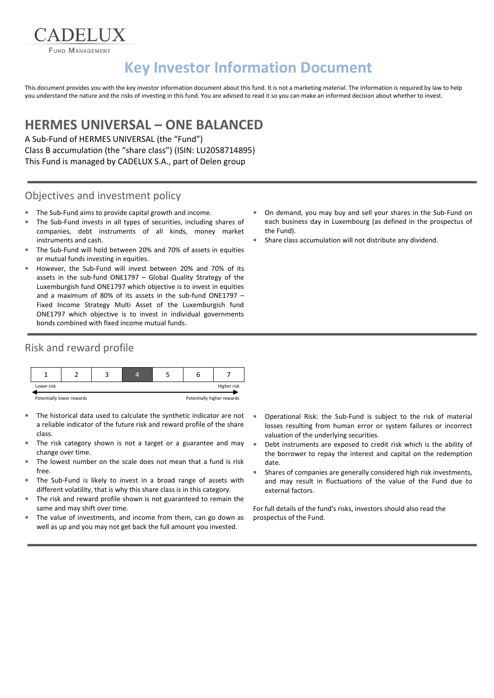FUND MANAGEMENT

ADELIX

# **Key Investor Information Document**

This document provides you with the key investor information document about this fund. It is not a marketing material. The information is required by law to help you understand the nature and the risks of investing in this fund. You are advised to read it so you can make an informed decision about whether to invest.

## **HERMES UNIVERSAL – ONE BALANCED**

A Sub-Fund of HERMES UNIVERSAL (the "Fund") Class B accumulation (the "share class") (ISIN: LU2058714895) This Fund is managed by CADELUX S.A., part of Delen group

#### Objectives and investment policy

- The Sub-Fund aims to provide capital growth and income.
- The Sub-Fund invests in all types of securities, including shares of companies, debt instruments of all kinds, money market instruments and cash.
- The Sub-Fund will hold between 20% and 70% of assets in equities or mutual funds investing in equities.
- However, the Sub-Fund will invest between 20% and 70% of its assets in the sub-fund ONE1797 – Global Quality Strategy of the Luxemburgish fund ONE1797 which objective is to invest in equities and a maximum of 80% of its assets in the sub-fund ONE1797 – Fixed Income Strategy Multi Asset of the Luxemburgish fund ONE1797 which objective is to invest in individual governments bonds combined with fixed income mutual funds.

#### Risk and reward profile



- The historical data used to calculate the synthetic indicator are not a reliable indicator of the future risk and reward profile of the share class.
- The risk category shown is not a target or a guarantee and may change over time.
- The lowest number on the scale does not mean that a fund is risk free.
- The Sub-Fund is likely to invest in a broad range of assets with different volatility, that is why this share class is in this category.
- The risk and reward profile shown is not guaranteed to remain the same and may shift over time.
- The value of investments, and income from them, can go down as well as up and you may not get back the full amount you invested.
- On demand, you may buy and sell your shares in the Sub-Fund on each business day in Luxembourg (as defined in the prospectus of the Fund).
- Share class accumulation will not distribute any dividend.

- Operational Risk: the Sub-Fund is subject to the risk of material losses resulting from human error or system failures or incorrect valuation of the underlying securities.
- Debt instruments are exposed to credit risk which is the ability of the borrower to repay the interest and capital on the redemption date.
- Shares of companies are generally considered high risk investments, and may result in fluctuations of the value of the Fund due to external factors.

For full details of the fund's risks, investors should also read the prospectus of the Fund.